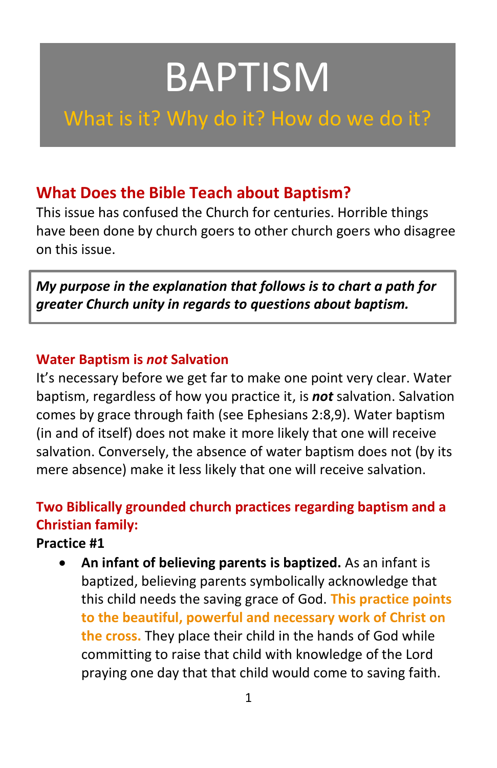# BAPTISM

# What is it? Why do it? How do we do it?

## **What Does the Bible Teach about Baptism?**

This issue has confused the Church for centuries. Horrible things have been done by church goers to other church goers who disagree on this issue.

*My purpose in the explanation that follows is to chart a path for greater Church unity in regards to questions about baptism.*

#### **Water Baptism is** *not* **Salvation**

It's necessary before we get far to make one point very clear. Water baptism, regardless of how you practice it, is *not* salvation. Salvation comes by grace through faith (see Ephesians 2:8,9). Water baptism (in and of itself) does not make it more likely that one will receive salvation. Conversely, the absence of water baptism does not (by its mere absence) make it less likely that one will receive salvation.

### **Two Biblically grounded church practices regarding baptism and a Christian family:**

#### **Practice #1**

 **An infant of believing parents is baptized.** As an infant is baptized, believing parents symbolically acknowledge that this child needs the saving grace of God. **This practice points to the beautiful, powerful and necessary work of Christ on the cross.** They place their child in the hands of God while committing to raise that child with knowledge of the Lord praying one day that that child would come to saving faith.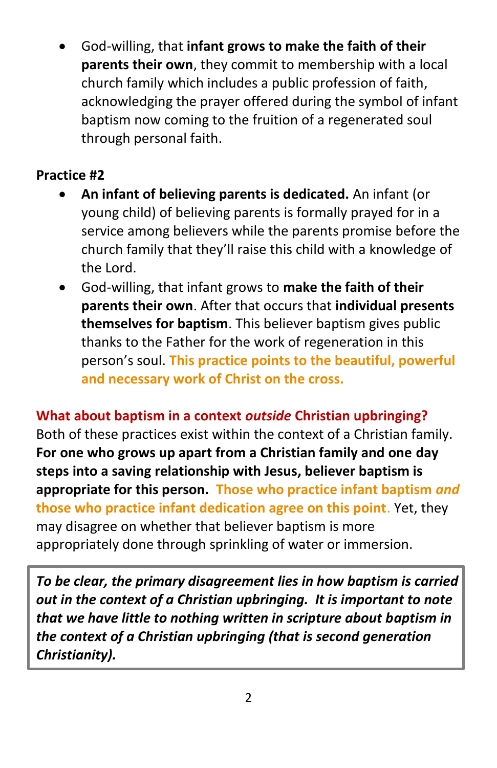God-willing, that **infant grows to make the faith of their parents their own**, they commit to membership with a local church family which includes a public profession of faith, acknowledging the prayer offered during the symbol of infant baptism now coming to the fruition of a regenerated soul through personal faith.

#### **Practice #2**

- **An infant of believing parents is dedicated.** An infant (or young child) of believing parents is formally prayed for in a service among believers while the parents promise before the church family that they'll raise this child with a knowledge of the Lord.
- God-willing, that infant grows to **make the faith of their parents their own**. After that occurs that **individual presents themselves for baptism**. This believer baptism gives public thanks to the Father for the work of regeneration in this person's soul. **This practice points to the beautiful, powerful and necessary work of Christ on the cross.**

**What about baptism in a context** *outside* **Christian upbringing?** Both of these practices exist within the context of a Christian family. **For one who grows up apart from a Christian family and one day steps into a saving relationship with Jesus, believer baptism is appropriate for this person. Those who practice infant baptism** *and* **those who practice infant dedication agree on this point**. Yet, they may disagree on whether that believer baptism is more appropriately done through sprinkling of water or immersion.

*To be clear, the primary disagreement lies in how baptism is carried out in the context of a Christian upbringing. It is important to note that we have little to nothing written in scripture about baptism in the context of a Christian upbringing (that is second generation Christianity).*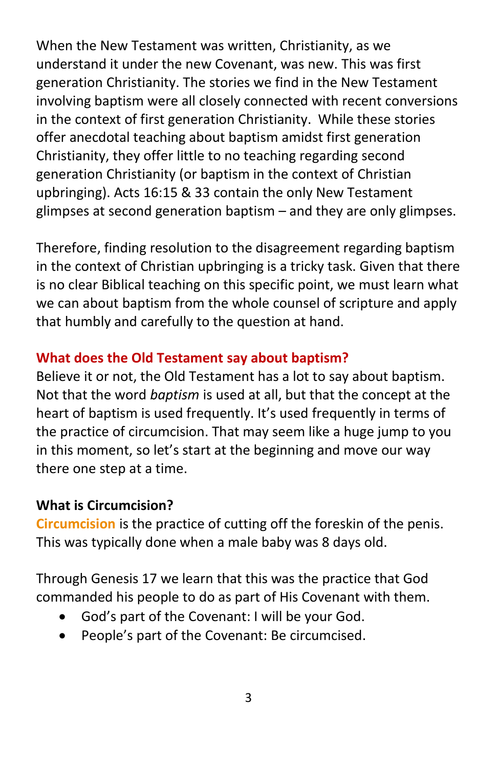When the New Testament was written, Christianity, as we understand it under the new Covenant, was new. This was first generation Christianity. The stories we find in the New Testament involving baptism were all closely connected with recent conversions in the context of first generation Christianity. While these stories offer anecdotal teaching about baptism amidst first generation Christianity, they offer little to no teaching regarding second generation Christianity (or baptism in the context of Christian upbringing). Acts 16:15 & 33 contain the only New Testament glimpses at second generation baptism – and they are only glimpses.

Therefore, finding resolution to the disagreement regarding baptism in the context of Christian upbringing is a tricky task. Given that there is no clear Biblical teaching on this specific point, we must learn what we can about baptism from the whole counsel of scripture and apply that humbly and carefully to the question at hand.

#### **What does the Old Testament say about baptism?**

Believe it or not, the Old Testament has a lot to say about baptism. Not that the word *baptism* is used at all, but that the concept at the heart of baptism is used frequently. It's used frequently in terms of the practice of circumcision. That may seem like a huge jump to you in this moment, so let's start at the beginning and move our way there one step at a time.

#### **What is Circumcision?**

**Circumcision** is the practice of cutting off the foreskin of the penis. This was typically done when a male baby was 8 days old.

Through Genesis 17 we learn that this was the practice that God commanded his people to do as part of His Covenant with them.

- God's part of the Covenant: I will be your God.
- People's part of the Covenant: Be circumcised.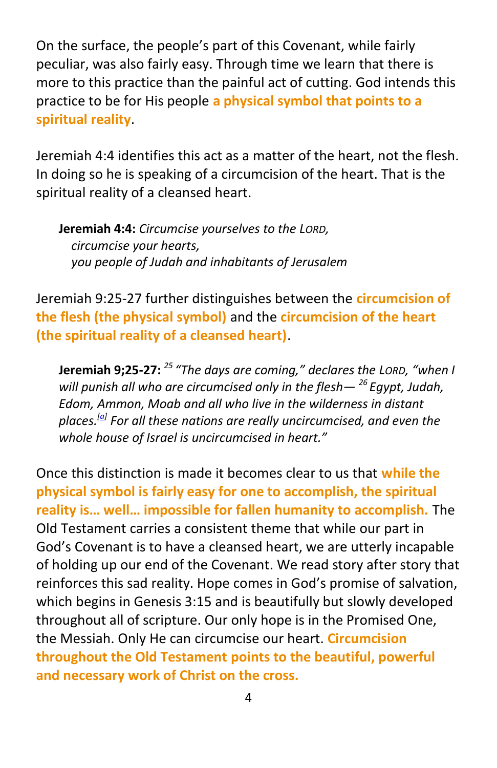On the surface, the people's part of this Covenant, while fairly peculiar, was also fairly easy. Through time we learn that there is more to this practice than the painful act of cutting. God intends this practice to be for His people **a physical symbol that points to a spiritual reality**.

Jeremiah 4:4 identifies this act as a matter of the heart, not the flesh. In doing so he is speaking of a circumcision of the heart. That is the spiritual reality of a cleansed heart.

**Jeremiah 4:4:** *Circumcise yourselves to the LORD, circumcise your hearts, you people of Judah and inhabitants of Jerusalem*

Jeremiah 9:25-27 further distinguishes between the **circumcision of the flesh (the physical symbol)** and the **circumcision of the heart (the spiritual reality of a cleansed heart)**.

**Jeremiah 9;25-27:** *<sup>25</sup> "The days are coming," declares the LORD, "when I will punish all who are circumcised only in the flesh— <sup>26</sup> Egypt, Judah, Edom, Ammon, Moab and all who live in the wilderness in distant places.[\[a\]](https://www.biblegateway.com/passage/?search=Jeremiah+9%3A25-27+&version=NIV#fen-NIV-19202a) For all these nations are really uncircumcised, and even the whole house of Israel is uncircumcised in heart."*

Once this distinction is made it becomes clear to us that **while the physical symbol is fairly easy for one to accomplish, the spiritual reality is… well… impossible for fallen humanity to accomplish.** The Old Testament carries a consistent theme that while our part in God's Covenant is to have a cleansed heart, we are utterly incapable of holding up our end of the Covenant. We read story after story that reinforces this sad reality. Hope comes in God's promise of salvation, which begins in Genesis 3:15 and is beautifully but slowly developed throughout all of scripture. Our only hope is in the Promised One, the Messiah. Only He can circumcise our heart. **Circumcision throughout the Old Testament points to the beautiful, powerful and necessary work of Christ on the cross.**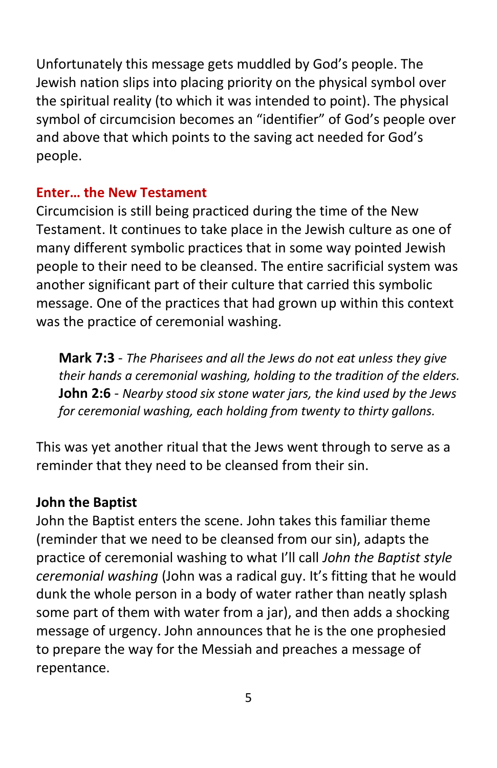Unfortunately this message gets muddled by God's people. The Jewish nation slips into placing priority on the physical symbol over the spiritual reality (to which it was intended to point). The physical symbol of circumcision becomes an "identifier" of God's people over and above that which points to the saving act needed for God's people.

#### **Enter… the New Testament**

Circumcision is still being practiced during the time of the New Testament. It continues to take place in the Jewish culture as one of many different symbolic practices that in some way pointed Jewish people to their need to be cleansed. The entire sacrificial system was another significant part of their culture that carried this symbolic message. One of the practices that had grown up within this context was the practice of ceremonial washing.

**Mark 7:3** - *The Pharisees and all the Jews do not eat unless they give their hands a ceremonial washing, holding to the tradition of the elders.* **John 2:6** - *Nearby stood six stone water jars, the kind used by the Jews for ceremonial washing, each holding from twenty to thirty gallons.*

This was yet another ritual that the Jews went through to serve as a reminder that they need to be cleansed from their sin.

#### **John the Baptist**

John the Baptist enters the scene. John takes this familiar theme (reminder that we need to be cleansed from our sin), adapts the practice of ceremonial washing to what I'll call *John the Baptist style ceremonial washing* (John was a radical guy. It's fitting that he would dunk the whole person in a body of water rather than neatly splash some part of them with water from a jar), and then adds a shocking message of urgency. John announces that he is the one prophesied to prepare the way for the Messiah and preaches a message of repentance.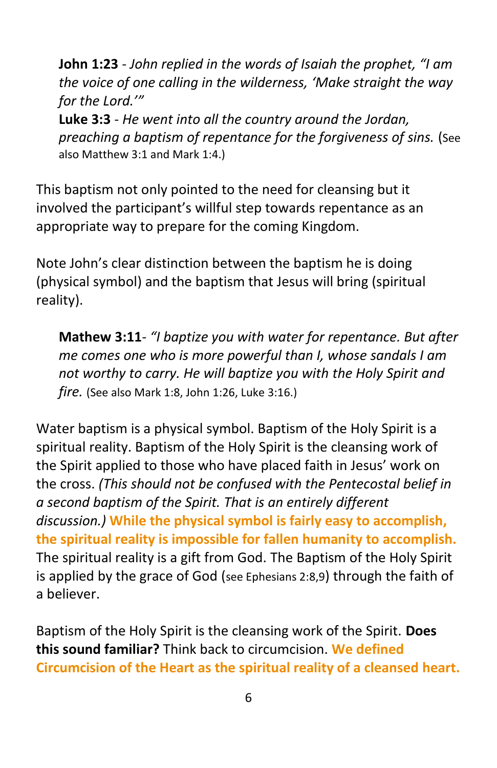**John 1:23** - *John replied in the words of Isaiah the prophet, "I am the voice of one calling in the wilderness, 'Make straight the way for the Lord.'"*

**Luke 3:3** - *He went into all the country around the Jordan, preaching a baptism of repentance for the forgiveness of sins.* (See also Matthew 3:1 and Mark 1:4.)

This baptism not only pointed to the need for cleansing but it involved the participant's willful step towards repentance as an appropriate way to prepare for the coming Kingdom.

Note John's clear distinction between the baptism he is doing (physical symbol) and the baptism that Jesus will bring (spiritual reality).

**Mathew 3:11**- *"I baptize you with water for repentance. But after me comes one who is more powerful than I, whose sandals I am not worthy to carry. He will baptize you with the Holy Spirit and fire.* (See also Mark 1:8, John 1:26, Luke 3:16.)

Water baptism is a physical symbol. Baptism of the Holy Spirit is a spiritual reality. Baptism of the Holy Spirit is the cleansing work of the Spirit applied to those who have placed faith in Jesus' work on the cross. *(This should not be confused with the Pentecostal belief in a second baptism of the Spirit. That is an entirely different discussion.)* **While the physical symbol is fairly easy to accomplish, the spiritual reality is impossible for fallen humanity to accomplish.** The spiritual reality is a gift from God. The Baptism of the Holy Spirit is applied by the grace of God (see Ephesians 2:8,9) through the faith of a believer.

Baptism of the Holy Spirit is the cleansing work of the Spirit. **Does this sound familiar?** Think back to circumcision. **We defined Circumcision of the Heart as the spiritual reality of a cleansed heart.**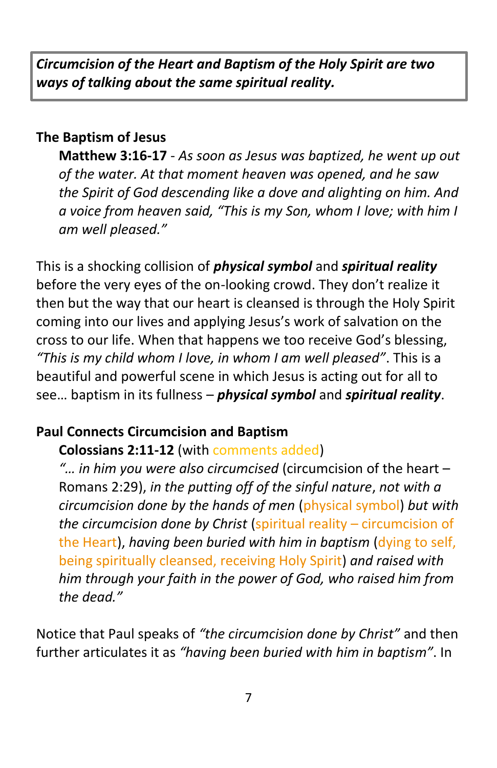*Circumcision of the Heart and Baptism of the Holy Spirit are two ways of talking about the same spiritual reality.*

#### **The Baptism of Jesus**

**Matthew 3:16-17** - *As soon as Jesus was baptized, he went up out of the water. At that moment heaven was opened, and he saw the Spirit of God descending like a dove and alighting on him. And a voice from heaven said, "This is my Son, whom I love; with him I am well pleased."*

This is a shocking collision of *physical symbol* and *spiritual reality* before the very eyes of the on-looking crowd. They don't realize it then but the way that our heart is cleansed is through the Holy Spirit coming into our lives and applying Jesus's work of salvation on the cross to our life. When that happens we too receive God's blessing, *"This is my child whom I love, in whom I am well pleased"*. This is a beautiful and powerful scene in which Jesus is acting out for all to see… baptism in its fullness – *physical symbol* and *spiritual reality*.

#### **Paul Connects Circumcision and Baptism**

#### **Colossians 2:11-12** (with comments added)

*"… in him you were also circumcised* (circumcision of the heart – Romans 2:29), *in the putting off of the sinful nature*, *not with a circumcision done by the hands of men* (physical symbol) *but with the circumcision done by Christ* (spiritual reality – circumcision of the Heart), *having been buried with him in baptism* (dying to self, being spiritually cleansed, receiving Holy Spirit) *and raised with him through your faith in the power of God, who raised him from the dead."*

Notice that Paul speaks of *"the circumcision done by Christ"* and then further articulates it as *"having been buried with him in baptism"*. In